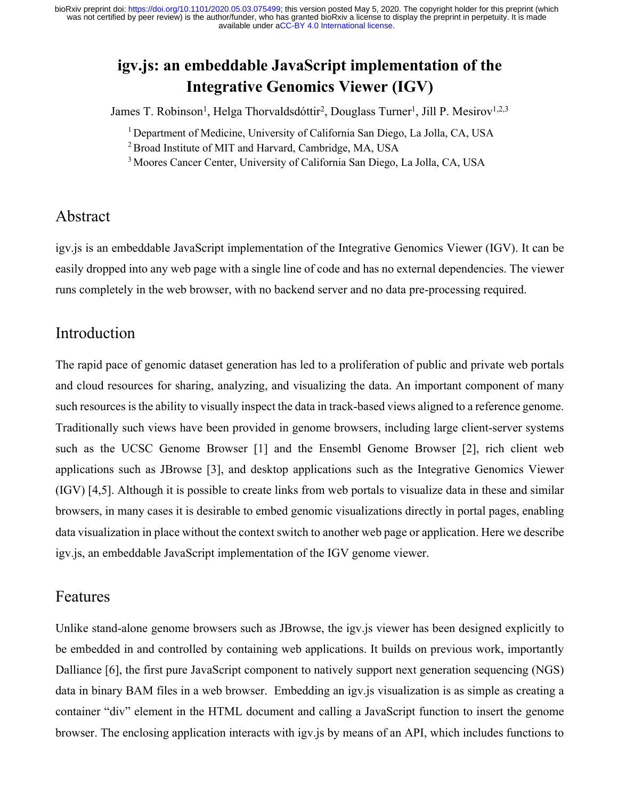## **igv.js: an embeddable JavaScript implementation of the Integrative Genomics Viewer (IGV)**

James T. Robinson<sup>1</sup>, Helga Thorvaldsdóttir<sup>2</sup>, Douglass Turner<sup>1</sup>, Jill P. Mesirov<sup>1,2,3</sup>

<sup>1</sup> Department of Medicine, University of California San Diego, La Jolla, CA, USA

<sup>2</sup> Broad Institute of MIT and Harvard, Cambridge, MA, USA

3 Moores Cancer Center, University of California San Diego, La Jolla, CA, USA

#### Abstract

igv.js is an embeddable JavaScript implementation of the Integrative Genomics Viewer (IGV). It can be easily dropped into any web page with a single line of code and has no external dependencies. The viewer runs completely in the web browser, with no backend server and no data pre-processing required.

#### Introduction

The rapid pace of genomic dataset generation has led to a proliferation of public and private web portals and cloud resources for sharing, analyzing, and visualizing the data. An important component of many such resources is the ability to visually inspect the data in track-based views aligned to a reference genome. Traditionally such views have been provided in genome browsers, including large client-server systems such as the UCSC Genome Browser [1] and the Ensembl Genome Browser [2], rich client web applications such as JBrowse [3], and desktop applications such as the Integrative Genomics Viewer (IGV) [4,5]. Although it is possible to create links from web portals to visualize data in these and similar browsers, in many cases it is desirable to embed genomic visualizations directly in portal pages, enabling data visualization in place without the context switch to another web page or application. Here we describe igv.js, an embeddable JavaScript implementation of the IGV genome viewer.

#### Features

Unlike stand-alone genome browsers such as JBrowse, the igv.js viewer has been designed explicitly to be embedded in and controlled by containing web applications. It builds on previous work, importantly Dalliance [6], the first pure JavaScript component to natively support next generation sequencing (NGS) data in binary BAM files in a web browser. Embedding an igv.js visualization is as simple as creating a container "div" element in the HTML document and calling a JavaScript function to insert the genome browser. The enclosing application interacts with igv.js by means of an API, which includes functions to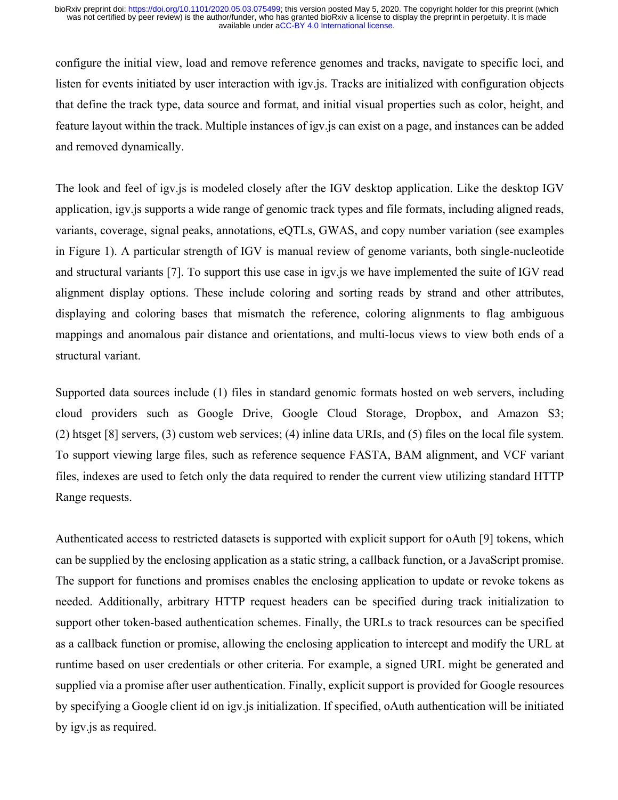configure the initial view, load and remove reference genomes and tracks, navigate to specific loci, and listen for events initiated by user interaction with igv.js. Tracks are initialized with configuration objects that define the track type, data source and format, and initial visual properties such as color, height, and feature layout within the track. Multiple instances of igv.js can exist on a page, and instances can be added and removed dynamically.

The look and feel of igv.js is modeled closely after the IGV desktop application. Like the desktop IGV application, igv.js supports a wide range of genomic track types and file formats, including aligned reads, variants, coverage, signal peaks, annotations, eQTLs, GWAS, and copy number variation (see examples in Figure 1). A particular strength of IGV is manual review of genome variants, both single-nucleotide and structural variants [7]. To support this use case in igv.js we have implemented the suite of IGV read alignment display options. These include coloring and sorting reads by strand and other attributes, displaying and coloring bases that mismatch the reference, coloring alignments to flag ambiguous mappings and anomalous pair distance and orientations, and multi-locus views to view both ends of a structural variant.

Supported data sources include (1) files in standard genomic formats hosted on web servers, including cloud providers such as Google Drive, Google Cloud Storage, Dropbox, and Amazon S3; (2) htsget [8] servers, (3) custom web services; (4) inline data URIs, and (5) files on the local file system. To support viewing large files, such as reference sequence FASTA, BAM alignment, and VCF variant files, indexes are used to fetch only the data required to render the current view utilizing standard HTTP Range requests.

Authenticated access to restricted datasets is supported with explicit support for oAuth [9] tokens, which can be supplied by the enclosing application as a static string, a callback function, or a JavaScript promise. The support for functions and promises enables the enclosing application to update or revoke tokens as needed. Additionally, arbitrary HTTP request headers can be specified during track initialization to support other token-based authentication schemes. Finally, the URLs to track resources can be specified as a callback function or promise, allowing the enclosing application to intercept and modify the URL at runtime based on user credentials or other criteria. For example, a signed URL might be generated and supplied via a promise after user authentication. Finally, explicit support is provided for Google resources by specifying a Google client id on igv.js initialization. If specified, oAuth authentication will be initiated by igv.js as required.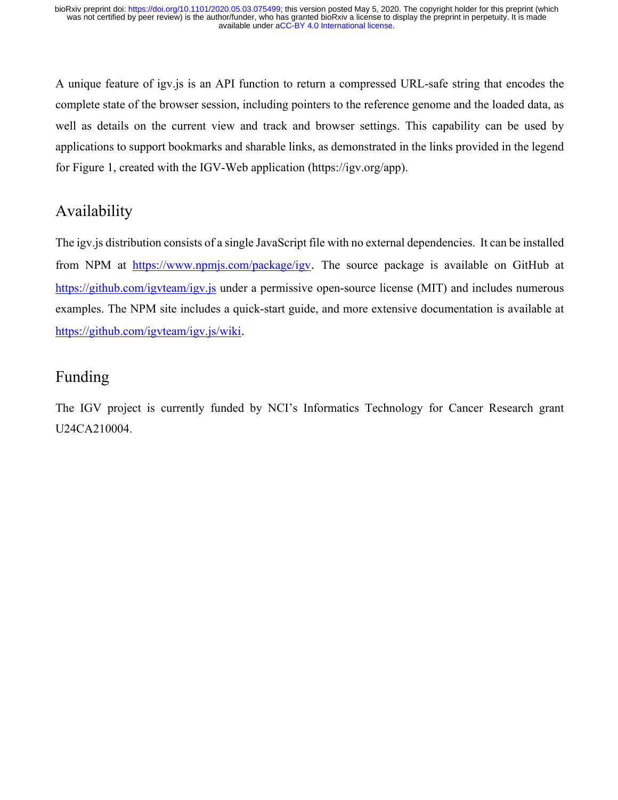A unique feature of igv.js is an API function to return a compressed URL-safe string that encodes the complete state of the browser session, including pointers to the reference genome and the loaded data, as well as details on the current view and track and browser settings. This capability can be used by applications to support bookmarks and sharable links, as demonstrated in the links provided in the legend for Figure 1, created with the IGV-Web application (https://igv.org/app).

## Availability

The igv.js distribution consists of a single JavaScript file with no external dependencies. It can be installed from NPM at https://www.npmjs.com/package/igv. The source package is available on GitHub at https://github.com/igvteam/igv.js under a permissive open-source license (MIT) and includes numerous examples. The NPM site includes a quick-start guide, and more extensive documentation is available at https://github.com/igvteam/igv.js/wiki.

### Funding

The IGV project is currently funded by NCI's Informatics Technology for Cancer Research grant U24CA210004.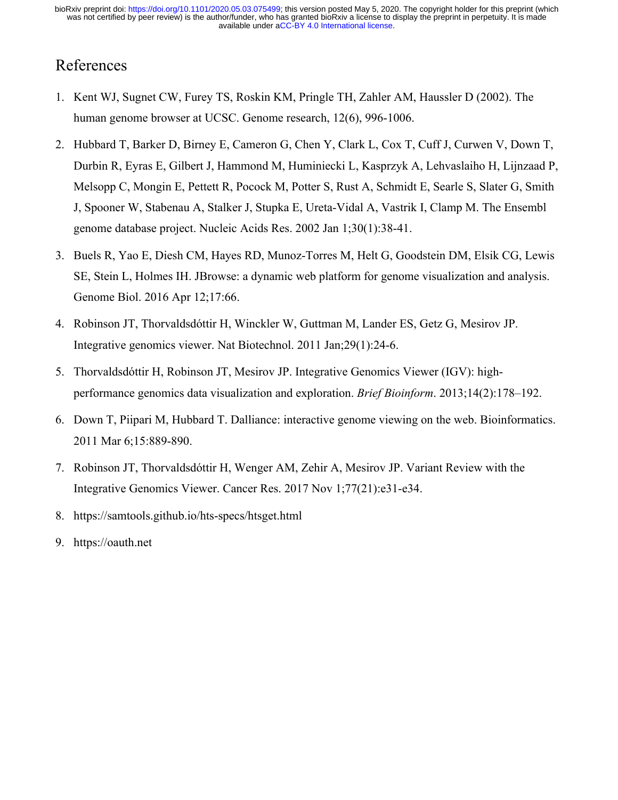## References

- 1. Kent WJ, Sugnet CW, Furey TS, Roskin KM, Pringle TH, Zahler AM, Haussler D (2002). The human genome browser at UCSC. Genome research, 12(6), 996-1006.
- 2. Hubbard T, Barker D, Birney E, Cameron G, Chen Y, Clark L, Cox T, Cuff J, Curwen V, Down T, Durbin R, Eyras E, Gilbert J, Hammond M, Huminiecki L, Kasprzyk A, Lehvaslaiho H, Lijnzaad P, Melsopp C, Mongin E, Pettett R, Pocock M, Potter S, Rust A, Schmidt E, Searle S, Slater G, Smith J, Spooner W, Stabenau A, Stalker J, Stupka E, Ureta-Vidal A, Vastrik I, Clamp M. The Ensembl genome database project. Nucleic Acids Res. 2002 Jan 1;30(1):38-41.
- 3. Buels R, Yao E, Diesh CM, Hayes RD, Munoz-Torres M, Helt G, Goodstein DM, Elsik CG, Lewis SE, Stein L, Holmes IH. JBrowse: a dynamic web platform for genome visualization and analysis. Genome Biol. 2016 Apr 12;17:66.
- 4. Robinson JT, Thorvaldsdóttir H, Winckler W, Guttman M, Lander ES, Getz G, Mesirov JP. Integrative genomics viewer. Nat Biotechnol. 2011 Jan;29(1):24-6.
- 5. Thorvaldsdóttir H, Robinson JT, Mesirov JP. Integrative Genomics Viewer (IGV): highperformance genomics data visualization and exploration. *Brief Bioinform*. 2013;14(2):178–192.
- 6. Down T, Piipari M, Hubbard T. Dalliance: interactive genome viewing on the web. Bioinformatics. 2011 Mar 6;15:889-890.
- 7. Robinson JT, Thorvaldsdóttir H, Wenger AM, Zehir A, Mesirov JP. Variant Review with the Integrative Genomics Viewer. Cancer Res. 2017 Nov 1;77(21):e31-e34.
- 8. https://samtools.github.io/hts-specs/htsget.html
- 9. https://oauth.net